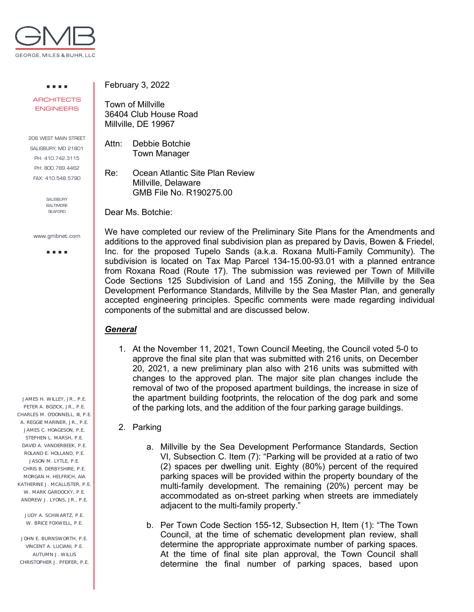

. . . . **ARCHITECTS** ENGINEERS

206 WEST MAIN STREET SALISBURY, MD 21801 PH: 410.742.3115 PH: 800.789.4462 FAX: 410.548.5790

> SALISBURY BALTIMORE SEAFORD

www.gmbnet.com

**DOM: N** 

JAMES H. WILLEY, JR., P.E. PETER A. BOZICK, JR., P.E. CHARLES M. O'DONNELL, III, P.E. A. REGGIE MARINER, JR., P.E. JAMES C. HOAGESON, P.E. STEPHEN L. MARSH, P.E. DAVID A. VANDERBEEK, P.E. ROLAND E. HOLLAND, P.E. JASON M. LYTLE, P.E. CHRIS B. DERBYSHIRE, P.E. MORGAN H. HELFRICH, AIA KATHERINE J. MCALLISTER, P.F. W. MARK GARDOCKY, P.E. ANDREW J. LYONS, JR., P.E.

JUDY A. SCHWARTZ, P.E. W. BRICE FOXWELL, P.E.

JOHN E. BURNSWORTH, P.E. VINCENT A. LUCIANI, P.E. AUTUMN J. WILLIS CHRISTOPHER J. PFEIFER, P.E. February 3, 2022

Town of Millville 36404 Club House Road Millville, DE 19967

Attn: Debbie Botchie Town Manager

Re: Ocean Atlantic Site Plan Review Millville, Delaware GMB File No. R190275.00

Dear Ms. Botchie:

We have completed our review of the Preliminary Site Plans for the Amendments and additions to the approved final subdivision plan as prepared by Davis, Bowen & Friedel, Inc. for the proposed Tupelo Sands (a.k.a. Roxana Multi-Family Community). The subdivision is located on Tax Map Parcel 134-15.00-93.01 with a planned entrance from Roxana Road (Route 17). The submission was reviewed per Town of Millville Code Sections 125 Subdivision of Land and 155 Zoning, the Millville by the Sea Development Performance Standards, Millville by the Sea Master Plan, and generally accepted engineering principles. Specific comments were made regarding individual components of the submittal and are discussed below.

## *General*

1. At the November 11, 2021, Town Council Meeting, the Council voted 5-0 to approve the final site plan that was submitted with 216 units, on December 20, 2021, a new preliminary plan also with 216 units was submitted with changes to the approved plan. The major site plan changes include the removal of two of the proposed apartment buildings, the increase in size of the apartment building footprints, the relocation of the dog park and some of the parking lots, and the addition of the four parking garage buildings.

## 2. Parking

- a. Millville by the Sea Development Performance Standards, Section VI, Subsection C. Item (7): "Parking will be provided at a ratio of two (2) spaces per dwelling unit. Eighty (80%) percent of the required parking spaces will be provided within the property boundary of the multi-family development. The remaining (20%) percent may be accommodated as on-street parking when streets are immediately adjacent to the multi-family property."
- b. Per Town Code Section 155-12, Subsection H, Item (1): "The Town Council, at the time of schematic development plan review, shall determine the appropriate approximate number of parking spaces. At the time of final site plan approval, the Town Council shall determine the final number of parking spaces, based upon